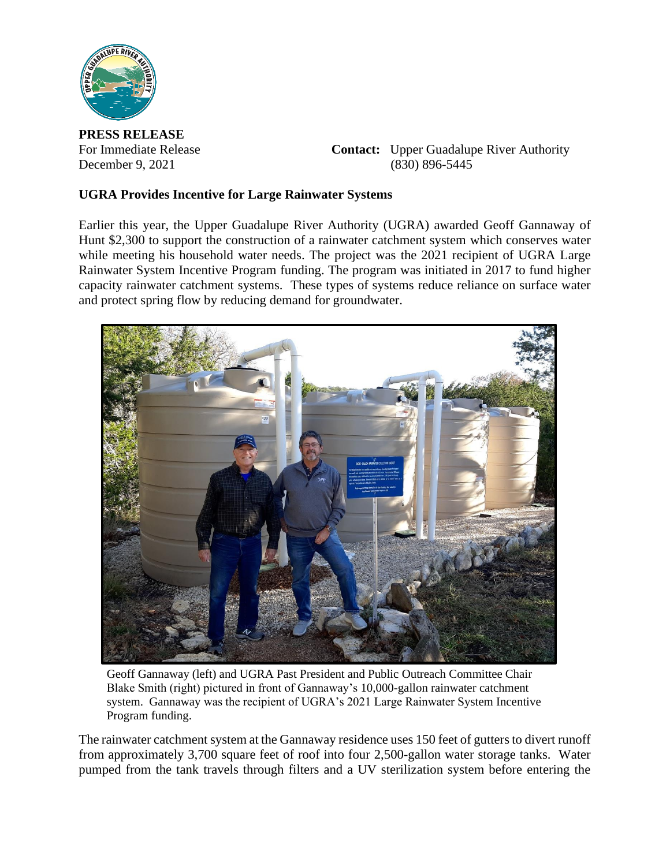

**PRESS RELEASE**

For Immediate Release **Contact:** Upper Guadalupe River Authority December 9, 2021 (830) 896-5445

## **UGRA Provides Incentive for Large Rainwater Systems**

Earlier this year, the Upper Guadalupe River Authority (UGRA) awarded Geoff Gannaway of Hunt \$2,300 to support the construction of a rainwater catchment system which conserves water while meeting his household water needs. The project was the 2021 recipient of UGRA Large Rainwater System Incentive Program funding. The program was initiated in 2017 to fund higher capacity rainwater catchment systems. These types of systems reduce reliance on surface water and protect spring flow by reducing demand for groundwater.



Geoff Gannaway (left) and UGRA Past President and Public Outreach Committee Chair Blake Smith (right) pictured in front of Gannaway's 10,000-gallon rainwater catchment system. Gannaway was the recipient of UGRA's 2021 Large Rainwater System Incentive Program funding.

The rainwater catchment system at the Gannaway residence uses 150 feet of gutters to divert runoff from approximately 3,700 square feet of roof into four 2,500-gallon water storage tanks. Water pumped from the tank travels through filters and a UV sterilization system before entering the